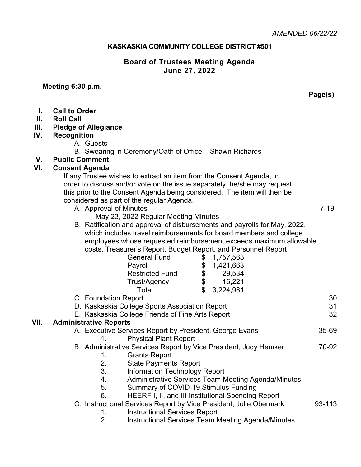### **KASKASKIA COMMUNITY COLLEGE DISTRICT #501**

## **Board of Trustees Meeting Agenda June 27, 2022**

#### **Meeting 6:30 p.m.**

**Page(s)**

- **I. Call to Order**
- **II. Roll Call**

## **III. Pledge of Allegiance**

### **IV. Recognition**

- A. Guests
- B. Swearing in Ceremony/Oath of Office Shawn Richards

# **V. Public Comment**

# **VI. Consent Agenda**

If any Trustee wishes to extract an item from the Consent Agenda, in order to discuss and/or vote on the issue separately, he/she may request this prior to the Consent Agenda being considered. The item will then be considered as part of the regular Agenda.

- A. Approval of Minutes 7-19
	- May 23, 2022 Regular Meeting Minutes
- B. Ratification and approval of disbursements and payrolls for May, 2022, which includes travel reimbursements for board members and college employees whose requested reimbursement exceeds maximum allowable costs, Treasurer's Report, Budget Report, and Personnel Report

|      |                                                                  | <b>General Fund</b>                                     | \$ | 1,757,563                                                          |        |
|------|------------------------------------------------------------------|---------------------------------------------------------|----|--------------------------------------------------------------------|--------|
|      |                                                                  | Payroll                                                 | \$ | 1,421,663                                                          |        |
|      |                                                                  | <b>Restricted Fund</b>                                  | \$ | 29,534                                                             |        |
|      |                                                                  | Trust/Agency                                            | \$ | 16,221                                                             |        |
|      |                                                                  | Total                                                   | \$ | 3,224,981                                                          |        |
|      | C. Foundation Report                                             |                                                         |    |                                                                    | 30     |
|      | D. Kaskaskia College Sports Association Report                   |                                                         |    |                                                                    | 31     |
|      | E. Kaskaskia College Friends of Fine Arts Report                 |                                                         |    |                                                                    |        |
| VII. | <b>Administrative Reports</b>                                    |                                                         |    |                                                                    | 32     |
|      |                                                                  | A. Executive Services Report by President, George Evans |    |                                                                    |        |
|      | 1.                                                               | <b>Physical Plant Report</b>                            |    |                                                                    |        |
|      | B. Administrative Services Report by Vice President, Judy Hemker |                                                         |    |                                                                    | 70-92  |
|      | 1.                                                               | <b>Grants Report</b>                                    |    |                                                                    |        |
|      | 2.                                                               | <b>State Payments Report</b>                            |    |                                                                    |        |
|      | 3.                                                               | Information Technology Report                           |    |                                                                    |        |
|      | 4.                                                               |                                                         |    | Administrative Services Team Meeting Agenda/Minutes                |        |
|      | 5.                                                               | Summary of COVID-19 Stimulus Funding                    |    |                                                                    |        |
|      | 6.                                                               |                                                         |    | HEERF I, II, and III Institutional Spending Report                 |        |
|      |                                                                  |                                                         |    | C. Instructional Services Report by Vice President, Julie Obermark | 93-113 |
|      | 1.                                                               | <b>Instructional Services Report</b>                    |    |                                                                    |        |

2. Instructional Services Team Meeting Agenda/Minutes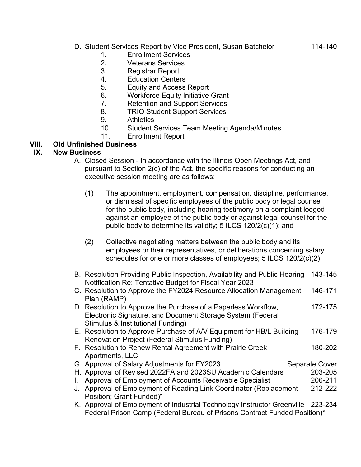# D. Student Services Report by Vice President, Susan Batchelor 114-140

- 1. Enrollment Services
- 2. Veterans Services
- 3. Registrar Report
- 4. Education Centers
- 5. Equity and Access Report
- 6. Workforce Equity Initiative Grant
- 7. Retention and Support Services
- 8. TRIO Student Support Services
- 9. Athletics
- 10. Student Services Team Meeting Agenda/Minutes
- 11. Enrollment Report

# **VIII. Old Unfinished Business**

## **IX. New Business**

- A. Closed Session In accordance with the Illinois Open Meetings Act, and pursuant to Section 2(c) of the Act, the specific reasons for conducting an executive session meeting are as follows:
	- (1) The appointment, employment, compensation, discipline, performance, or dismissal of specific employees of the public body or legal counsel for the public body, including hearing testimony on a complaint lodged against an employee of the public body or against legal counsel for the public body to determine its validity; 5 ILCS 120/2(c)(1); and
	- (2) Collective negotiating matters between the public body and its employees or their representatives, or deliberations concerning salary schedules for one or more classes of employees; 5 ILCS 120/2(c)(2)
- B. Resolution Providing Public Inspection, Availability and Public Hearing 143-145 Notification Re: Tentative Budget for Fiscal Year 2023
- C. Resolution to Approve the FY2024 Resource Allocation Management 146-171 Plan (RAMP)
- D. Resolution to Approve the Purchase of a Paperless Workflow, 172-175 Electronic Signature, and Document Storage System (Federal Stimulus & Institutional Funding)
- E. Resolution to Approve Purchase of A/V Equipment for HB/L Building 176-179 Renovation Project (Federal Stimulus Funding)
- F. Resolution to Renew Rental Agreement with Prairie Creek 180-202 Apartments, LLC G. Approval of Salary Adjustments for FY2023 Separate Cover
- H. Approval of Revised 2022FA and 2023SU Academic Calendars 203-205
- I. Approval of Employment of Accounts Receivable Specialist 206-211
- J. Approval of Employment of Reading Link Coordinator (Replacement 212-222 Position; Grant Funded)\*
- K. Approval of Employment of Industrial Technology Instructor Greenville 223-234 Federal Prison Camp (Federal Bureau of Prisons Contract Funded Position)\*